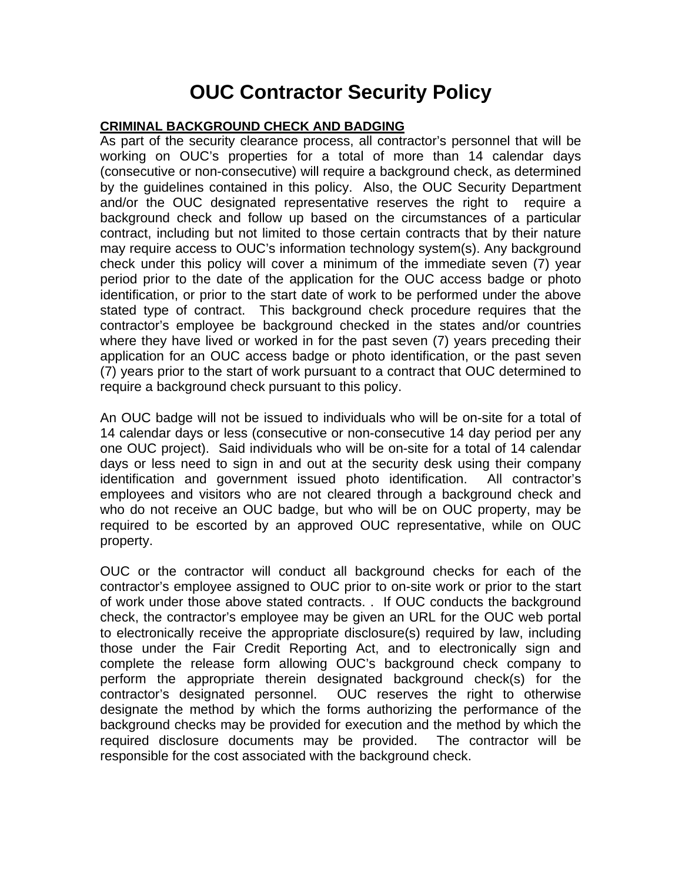## **OUC Contractor Security Policy**

## **CRIMINAL BACKGROUND CHECK AND BADGING**

As part of the security clearance process, all contractor's personnel that will be working on OUC's properties for a total of more than 14 calendar days (consecutive or non-consecutive) will require a background check, as determined by the guidelines contained in this policy. Also, the OUC Security Department and/or the OUC designated representative reserves the right to require a background check and follow up based on the circumstances of a particular contract, including but not limited to those certain contracts that by their nature may require access to OUC's information technology system(s). Any background check under this policy will cover a minimum of the immediate seven (7) year period prior to the date of the application for the OUC access badge or photo identification, or prior to the start date of work to be performed under the above stated type of contract. This background check procedure requires that the contractor's employee be background checked in the states and/or countries where they have lived or worked in for the past seven (7) years preceding their application for an OUC access badge or photo identification, or the past seven (7) years prior to the start of work pursuant to a contract that OUC determined to require a background check pursuant to this policy.

An OUC badge will not be issued to individuals who will be on-site for a total of 14 calendar days or less (consecutive or non-consecutive 14 day period per any one OUC project). Said individuals who will be on-site for a total of 14 calendar days or less need to sign in and out at the security desk using their company identification and government issued photo identification. All contractor's employees and visitors who are not cleared through a background check and who do not receive an OUC badge, but who will be on OUC property, may be required to be escorted by an approved OUC representative, while on OUC property.

OUC or the contractor will conduct all background checks for each of the contractor's employee assigned to OUC prior to on-site work or prior to the start of work under those above stated contracts. . If OUC conducts the background check, the contractor's employee may be given an URL for the OUC web portal to electronically receive the appropriate disclosure(s) required by law, including those under the Fair Credit Reporting Act, and to electronically sign and complete the release form allowing OUC's background check company to perform the appropriate therein designated background check(s) for the contractor's designated personnel. OUC reserves the right to otherwise designate the method by which the forms authorizing the performance of the background checks may be provided for execution and the method by which the required disclosure documents may be provided. The contractor will be responsible for the cost associated with the background check.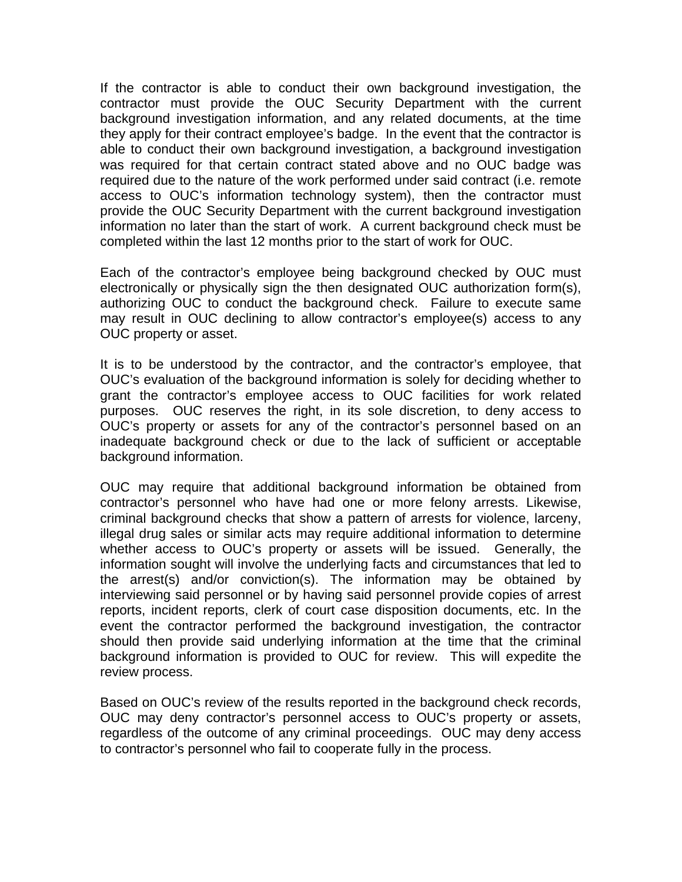If the contractor is able to conduct their own background investigation, the contractor must provide the OUC Security Department with the current background investigation information, and any related documents, at the time they apply for their contract employee's badge. In the event that the contractor is able to conduct their own background investigation, a background investigation was required for that certain contract stated above and no OUC badge was required due to the nature of the work performed under said contract (i.e. remote access to OUC's information technology system), then the contractor must provide the OUC Security Department with the current background investigation information no later than the start of work. A current background check must be completed within the last 12 months prior to the start of work for OUC.

Each of the contractor's employee being background checked by OUC must electronically or physically sign the then designated OUC authorization form(s), authorizing OUC to conduct the background check. Failure to execute same may result in OUC declining to allow contractor's employee(s) access to any OUC property or asset.

It is to be understood by the contractor, and the contractor's employee, that OUC's evaluation of the background information is solely for deciding whether to grant the contractor's employee access to OUC facilities for work related purposes. OUC reserves the right, in its sole discretion, to deny access to OUC's property or assets for any of the contractor's personnel based on an inadequate background check or due to the lack of sufficient or acceptable background information.

OUC may require that additional background information be obtained from contractor's personnel who have had one or more felony arrests. Likewise, criminal background checks that show a pattern of arrests for violence, larceny, illegal drug sales or similar acts may require additional information to determine whether access to OUC's property or assets will be issued. Generally, the information sought will involve the underlying facts and circumstances that led to the arrest(s) and/or conviction(s). The information may be obtained by interviewing said personnel or by having said personnel provide copies of arrest reports, incident reports, clerk of court case disposition documents, etc. In the event the contractor performed the background investigation, the contractor should then provide said underlying information at the time that the criminal background information is provided to OUC for review. This will expedite the review process.

Based on OUC's review of the results reported in the background check records, OUC may deny contractor's personnel access to OUC's property or assets, regardless of the outcome of any criminal proceedings. OUC may deny access to contractor's personnel who fail to cooperate fully in the process.